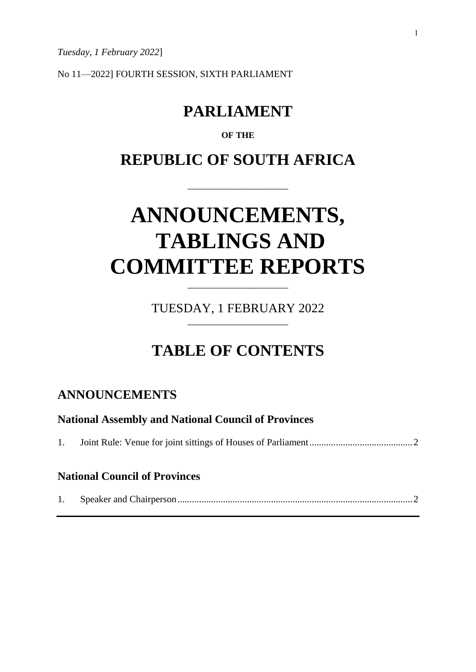*Tuesday, 1 February 2022*]

No 11—2022] FOURTH SESSION, SIXTH PARLIAMENT

# **PARLIAMENT**

#### **OF THE**

# **REPUBLIC OF SOUTH AFRICA**

\_\_\_\_\_\_\_\_\_\_\_\_\_\_\_\_\_\_\_\_\_

# **ANNOUNCEMENTS, TABLINGS AND COMMITTEE REPORTS**

TUESDAY, 1 FEBRUARY 2022 \_\_\_\_\_\_\_\_\_\_\_\_\_\_\_\_\_\_\_\_\_

\_\_\_\_\_\_\_\_\_\_\_\_\_\_\_\_\_\_\_\_\_

# **TABLE OF CONTENTS**

## **ANNOUNCEMENTS**

| <b>National Assembly and National Council of Provinces</b> |                                      |  |
|------------------------------------------------------------|--------------------------------------|--|
|                                                            |                                      |  |
|                                                            | <b>National Council of Provinces</b> |  |
|                                                            |                                      |  |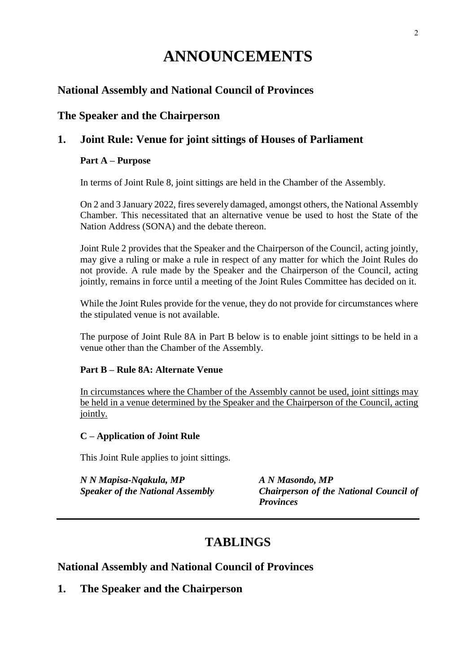# **ANNOUNCEMENTS**

## **National Assembly and National Council of Provinces**

## **The Speaker and the Chairperson**

### **1. Joint Rule: Venue for joint sittings of Houses of Parliament**

#### **Part A – Purpose**

In terms of Joint Rule 8, joint sittings are held in the Chamber of the Assembly.

On 2 and 3 January 2022, fires severely damaged, amongst others, the National Assembly Chamber. This necessitated that an alternative venue be used to host the State of the Nation Address (SONA) and the debate thereon.

Joint Rule 2 provides that the Speaker and the Chairperson of the Council, acting jointly, may give a ruling or make a rule in respect of any matter for which the Joint Rules do not provide. A rule made by the Speaker and the Chairperson of the Council, acting jointly, remains in force until a meeting of the Joint Rules Committee has decided on it.

While the Joint Rules provide for the venue, they do not provide for circumstances where the stipulated venue is not available.

The purpose of Joint Rule 8A in Part B below is to enable joint sittings to be held in a venue other than the Chamber of the Assembly.

#### **Part B – Rule 8A: Alternate Venue**

In circumstances where the Chamber of the Assembly cannot be used, joint sittings may be held in a venue determined by the Speaker and the Chairperson of the Council, acting jointly.

#### **C – Application of Joint Rule**

This Joint Rule applies to joint sittings.

*N N Mapisa-Nqakula, MP A N Masondo, MP*

*Speaker of the National Assembly Chairperson of the National Council of Provinces*

## **TABLINGS**

#### **National Assembly and National Council of Provinces**

**1. The Speaker and the Chairperson**